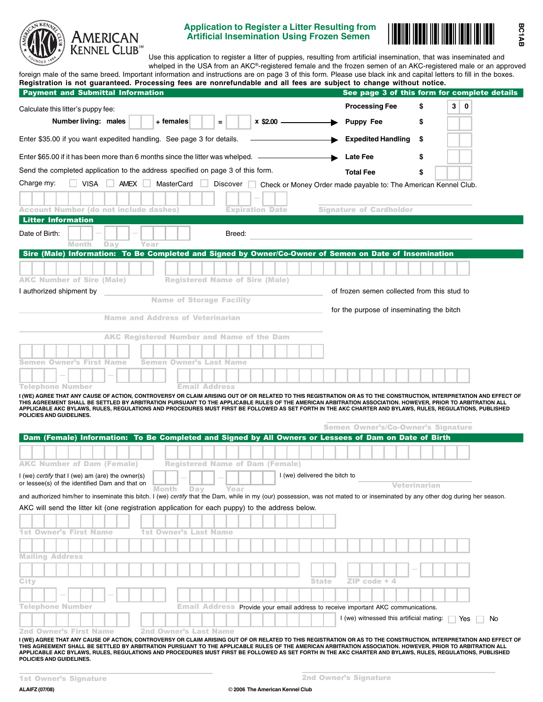

# **Application to Register a Litter Resulting from Artificial Insemination Using Frozen Semen**



**BC1AB**

Use this application to register a litter of puppies, resulting from artificial insemination, that was inseminated and whelped in the USA from an AKC®-registered female and the frozen semen of an AKC-registered male or an approved

|                                                                                                                                                                                                                                                                                                                                                                                                                                                                                                                                                                                                                                                                                                                                                                                                                                                                                                                                                                                                                                                                                          |                                                  |                                        |                                                                                          |                                                                          |                          |                               |              | See page 3 of this form for complete details |              |  |                     |         |
|------------------------------------------------------------------------------------------------------------------------------------------------------------------------------------------------------------------------------------------------------------------------------------------------------------------------------------------------------------------------------------------------------------------------------------------------------------------------------------------------------------------------------------------------------------------------------------------------------------------------------------------------------------------------------------------------------------------------------------------------------------------------------------------------------------------------------------------------------------------------------------------------------------------------------------------------------------------------------------------------------------------------------------------------------------------------------------------|--------------------------------------------------|----------------------------------------|------------------------------------------------------------------------------------------|--------------------------------------------------------------------------|--------------------------|-------------------------------|--------------|----------------------------------------------|--------------|--|---------------------|---------|
| Calculate this litter's puppy fee:                                                                                                                                                                                                                                                                                                                                                                                                                                                                                                                                                                                                                                                                                                                                                                                                                                                                                                                                                                                                                                                       |                                                  |                                        |                                                                                          |                                                                          |                          |                               |              | <b>Processing Fee</b>                        |              |  | \$                  | 3<br>∣0 |
| Number living: males                                                                                                                                                                                                                                                                                                                                                                                                                                                                                                                                                                                                                                                                                                                                                                                                                                                                                                                                                                                                                                                                     |                                                  | + females                              | Ξ                                                                                        |                                                                          | $x$ \$2.00 $\frac{1}{1}$ |                               |              | <b>Puppy Fee</b>                             |              |  | \$                  |         |
| Enter \$35.00 if you want expedited handling. See page 3 for details.                                                                                                                                                                                                                                                                                                                                                                                                                                                                                                                                                                                                                                                                                                                                                                                                                                                                                                                                                                                                                    |                                                  |                                        |                                                                                          |                                                                          |                          |                               |              | <b>Expedited Handling</b>                    |              |  | \$                  |         |
| Enter \$65.00 if it has been more than 6 months since the litter was whelped. -                                                                                                                                                                                                                                                                                                                                                                                                                                                                                                                                                                                                                                                                                                                                                                                                                                                                                                                                                                                                          |                                                  |                                        |                                                                                          |                                                                          |                          |                               |              | Late Fee                                     |              |  | \$                  |         |
| Send the completed application to the address specified on page 3 of this form.                                                                                                                                                                                                                                                                                                                                                                                                                                                                                                                                                                                                                                                                                                                                                                                                                                                                                                                                                                                                          |                                                  |                                        |                                                                                          |                                                                          |                          |                               |              | <b>Total Fee</b>                             |              |  | \$                  |         |
| Charge my:<br>$VISA$ $\Box$                                                                                                                                                                                                                                                                                                                                                                                                                                                                                                                                                                                                                                                                                                                                                                                                                                                                                                                                                                                                                                                              | AMEX U                                           | MasterCard                             |                                                                                          | Discover Check or Money Order made payable to: The American Kennel Club. |                          |                               |              |                                              |              |  |                     |         |
|                                                                                                                                                                                                                                                                                                                                                                                                                                                                                                                                                                                                                                                                                                                                                                                                                                                                                                                                                                                                                                                                                          |                                                  |                                        |                                                                                          |                                                                          |                          |                               |              |                                              |              |  |                     |         |
| <b>Account Number (do not include dashes)</b>                                                                                                                                                                                                                                                                                                                                                                                                                                                                                                                                                                                                                                                                                                                                                                                                                                                                                                                                                                                                                                            |                                                  |                                        |                                                                                          | <b>Expiration Date</b>                                                   |                          |                               |              | <b>Signature of Cardholder</b>               |              |  |                     |         |
| <b>Litter Information</b>                                                                                                                                                                                                                                                                                                                                                                                                                                                                                                                                                                                                                                                                                                                                                                                                                                                                                                                                                                                                                                                                |                                                  |                                        |                                                                                          |                                                                          |                          |                               |              |                                              |              |  |                     |         |
| Date of Birth:                                                                                                                                                                                                                                                                                                                                                                                                                                                                                                                                                                                                                                                                                                                                                                                                                                                                                                                                                                                                                                                                           |                                                  |                                        |                                                                                          | Breed:                                                                   |                          |                               |              |                                              |              |  |                     |         |
| <b>Month</b><br>Day<br>Sire (Male) Information: To Be Completed and Signed by Owner/Co-Owner of Semen on Date of Insemination                                                                                                                                                                                                                                                                                                                                                                                                                                                                                                                                                                                                                                                                                                                                                                                                                                                                                                                                                            | Year                                             |                                        |                                                                                          |                                                                          |                          |                               |              |                                              |              |  |                     |         |
|                                                                                                                                                                                                                                                                                                                                                                                                                                                                                                                                                                                                                                                                                                                                                                                                                                                                                                                                                                                                                                                                                          |                                                  |                                        |                                                                                          |                                                                          |                          |                               |              |                                              |              |  |                     |         |
|                                                                                                                                                                                                                                                                                                                                                                                                                                                                                                                                                                                                                                                                                                                                                                                                                                                                                                                                                                                                                                                                                          |                                                  |                                        |                                                                                          |                                                                          |                          |                               |              |                                              |              |  |                     |         |
| <b>AKC Number of Sire (Male)</b><br>I authorized shipment by                                                                                                                                                                                                                                                                                                                                                                                                                                                                                                                                                                                                                                                                                                                                                                                                                                                                                                                                                                                                                             |                                                  | <b>Registered Name of Sire (Male)</b>  |                                                                                          |                                                                          |                          |                               |              | of frozen semen collected from this stud to  |              |  |                     |         |
|                                                                                                                                                                                                                                                                                                                                                                                                                                                                                                                                                                                                                                                                                                                                                                                                                                                                                                                                                                                                                                                                                          |                                                  | <b>Name of Storage Facility</b>        |                                                                                          |                                                                          |                          |                               |              |                                              |              |  |                     |         |
|                                                                                                                                                                                                                                                                                                                                                                                                                                                                                                                                                                                                                                                                                                                                                                                                                                                                                                                                                                                                                                                                                          | <b>Name and Address of Veterinarian</b>          |                                        |                                                                                          |                                                                          |                          |                               |              | for the purpose of inseminating the bitch    |              |  |                     |         |
|                                                                                                                                                                                                                                                                                                                                                                                                                                                                                                                                                                                                                                                                                                                                                                                                                                                                                                                                                                                                                                                                                          |                                                  |                                        |                                                                                          |                                                                          |                          |                               |              |                                              |              |  |                     |         |
|                                                                                                                                                                                                                                                                                                                                                                                                                                                                                                                                                                                                                                                                                                                                                                                                                                                                                                                                                                                                                                                                                          | <b>AKC Registered Number and Name of the Dam</b> |                                        |                                                                                          |                                                                          |                          |                               |              |                                              |              |  |                     |         |
|                                                                                                                                                                                                                                                                                                                                                                                                                                                                                                                                                                                                                                                                                                                                                                                                                                                                                                                                                                                                                                                                                          |                                                  |                                        |                                                                                          |                                                                          |                          |                               |              |                                              |              |  |                     |         |
| Semen Owner's First Name                                                                                                                                                                                                                                                                                                                                                                                                                                                                                                                                                                                                                                                                                                                                                                                                                                                                                                                                                                                                                                                                 |                                                  | Semen Owner's Last Name                |                                                                                          |                                                                          |                          |                               |              |                                              |              |  |                     |         |
|                                                                                                                                                                                                                                                                                                                                                                                                                                                                                                                                                                                                                                                                                                                                                                                                                                                                                                                                                                                                                                                                                          |                                                  |                                        |                                                                                          |                                                                          |                          |                               |              |                                              |              |  |                     |         |
|                                                                                                                                                                                                                                                                                                                                                                                                                                                                                                                                                                                                                                                                                                                                                                                                                                                                                                                                                                                                                                                                                          |                                                  |                                        |                                                                                          |                                                                          |                          |                               |              |                                              |              |  |                     |         |
|                                                                                                                                                                                                                                                                                                                                                                                                                                                                                                                                                                                                                                                                                                                                                                                                                                                                                                                                                                                                                                                                                          |                                                  |                                        | <b>Email Address</b>                                                                     |                                                                          |                          |                               |              |                                              |              |  |                     |         |
|                                                                                                                                                                                                                                                                                                                                                                                                                                                                                                                                                                                                                                                                                                                                                                                                                                                                                                                                                                                                                                                                                          |                                                  |                                        |                                                                                          |                                                                          |                          |                               |              |                                              |              |  |                     |         |
|                                                                                                                                                                                                                                                                                                                                                                                                                                                                                                                                                                                                                                                                                                                                                                                                                                                                                                                                                                                                                                                                                          |                                                  |                                        |                                                                                          |                                                                          |                          |                               |              |                                              |              |  |                     |         |
|                                                                                                                                                                                                                                                                                                                                                                                                                                                                                                                                                                                                                                                                                                                                                                                                                                                                                                                                                                                                                                                                                          |                                                  |                                        |                                                                                          |                                                                          |                          |                               |              | <b>Semen Owner's/Co-Owner's Signature</b>    |              |  |                     |         |
|                                                                                                                                                                                                                                                                                                                                                                                                                                                                                                                                                                                                                                                                                                                                                                                                                                                                                                                                                                                                                                                                                          |                                                  |                                        |                                                                                          |                                                                          |                          |                               |              |                                              |              |  |                     |         |
|                                                                                                                                                                                                                                                                                                                                                                                                                                                                                                                                                                                                                                                                                                                                                                                                                                                                                                                                                                                                                                                                                          |                                                  |                                        |                                                                                          |                                                                          |                          |                               |              |                                              |              |  |                     |         |
|                                                                                                                                                                                                                                                                                                                                                                                                                                                                                                                                                                                                                                                                                                                                                                                                                                                                                                                                                                                                                                                                                          |                                                  | <b>Registered Name of Dam (Female)</b> |                                                                                          |                                                                          |                          |                               |              |                                              |              |  |                     |         |
|                                                                                                                                                                                                                                                                                                                                                                                                                                                                                                                                                                                                                                                                                                                                                                                                                                                                                                                                                                                                                                                                                          |                                                  |                                        |                                                                                          |                                                                          |                          | I (we) delivered the bitch to |              |                                              |              |  |                     |         |
|                                                                                                                                                                                                                                                                                                                                                                                                                                                                                                                                                                                                                                                                                                                                                                                                                                                                                                                                                                                                                                                                                          | Month                                            | Day                                    |                                                                                          | Year                                                                     |                          |                               |              |                                              |              |  | <b>Veterinarian</b> |         |
|                                                                                                                                                                                                                                                                                                                                                                                                                                                                                                                                                                                                                                                                                                                                                                                                                                                                                                                                                                                                                                                                                          |                                                  |                                        |                                                                                          |                                                                          |                          |                               |              |                                              |              |  |                     |         |
| Telephone Number<br>I (WE) AGREE THAT ANY CAUSE OF ACTION, CONTROVERSY OR CLAIM ARISING OUT OF OR RELATED TO THIS REGISTRATION OR AS TO THE CONSTRUCTION, INTERPRETATION AND EFFECT OF<br>THIS AGREEMENT SHALL BE SETTLED BY ARBITRATION PURSUANT TO THE APPLICABLE RULES OF THE AMERICAN ARBITRATION ASSOCIATION. HOWEVER, PRIOR TO ARBITRATION ALL<br>APPLICABLE AKC BYLAWS, RULES, REGULATIONS AND PROCEDURES MUST FIRST BE FOLLOWED AS SET FORTH IN THE AKC CHARTER AND BYLAWS, RULES, REGULATIONS, PUBLISHED<br>POLICIES AND GUIDELINES.<br>Dam (Female) Information: To Be Completed and Signed by All Owners or Lessees of Dam on Date of Birth<br><b>AKC Number of Dam (Female)</b><br>I (we) certify that I (we) am (are) the owner(s)<br>or lessee(s) of the identified Dam and that on<br>and authorized him/her to inseminate this bitch. I (we) certify that the Dam, while in my (our) possession, was not mated to or inseminated by any other dog during her season.<br>AKC will send the litter kit (one registration application for each puppy) to the address below. |                                                  |                                        |                                                                                          |                                                                          |                          |                               |              |                                              |              |  |                     |         |
|                                                                                                                                                                                                                                                                                                                                                                                                                                                                                                                                                                                                                                                                                                                                                                                                                                                                                                                                                                                                                                                                                          |                                                  |                                        |                                                                                          |                                                                          |                          |                               |              |                                              |              |  |                     |         |
|                                                                                                                                                                                                                                                                                                                                                                                                                                                                                                                                                                                                                                                                                                                                                                                                                                                                                                                                                                                                                                                                                          |                                                  | 1st Owner's Last Name                  |                                                                                          |                                                                          |                          |                               |              |                                              |              |  |                     |         |
|                                                                                                                                                                                                                                                                                                                                                                                                                                                                                                                                                                                                                                                                                                                                                                                                                                                                                                                                                                                                                                                                                          |                                                  |                                        |                                                                                          |                                                                          |                          |                               |              |                                              |              |  |                     |         |
|                                                                                                                                                                                                                                                                                                                                                                                                                                                                                                                                                                                                                                                                                                                                                                                                                                                                                                                                                                                                                                                                                          |                                                  |                                        |                                                                                          |                                                                          |                          |                               |              |                                              |              |  |                     |         |
|                                                                                                                                                                                                                                                                                                                                                                                                                                                                                                                                                                                                                                                                                                                                                                                                                                                                                                                                                                                                                                                                                          |                                                  |                                        |                                                                                          |                                                                          |                          |                               |              |                                              |              |  |                     |         |
|                                                                                                                                                                                                                                                                                                                                                                                                                                                                                                                                                                                                                                                                                                                                                                                                                                                                                                                                                                                                                                                                                          |                                                  |                                        |                                                                                          |                                                                          |                          |                               | <b>State</b> |                                              | ZIP code + 4 |  |                     |         |
| <b>1st Owner's First Name</b><br><b>Mailing Address</b><br>City                                                                                                                                                                                                                                                                                                                                                                                                                                                                                                                                                                                                                                                                                                                                                                                                                                                                                                                                                                                                                          |                                                  |                                        |                                                                                          |                                                                          |                          |                               |              |                                              |              |  |                     |         |
|                                                                                                                                                                                                                                                                                                                                                                                                                                                                                                                                                                                                                                                                                                                                                                                                                                                                                                                                                                                                                                                                                          |                                                  |                                        | <b>Email Address Provide your email address to receive important AKC communications.</b> |                                                                          |                          |                               |              |                                              |              |  |                     |         |
| Telephone Number<br><b>2nd Owner's First Name</b>                                                                                                                                                                                                                                                                                                                                                                                                                                                                                                                                                                                                                                                                                                                                                                                                                                                                                                                                                                                                                                        |                                                  | <b>2nd Owner's Last Name</b>           |                                                                                          |                                                                          |                          |                               |              | I (we) witnessed this artificial mating:     |              |  |                     | Yes     |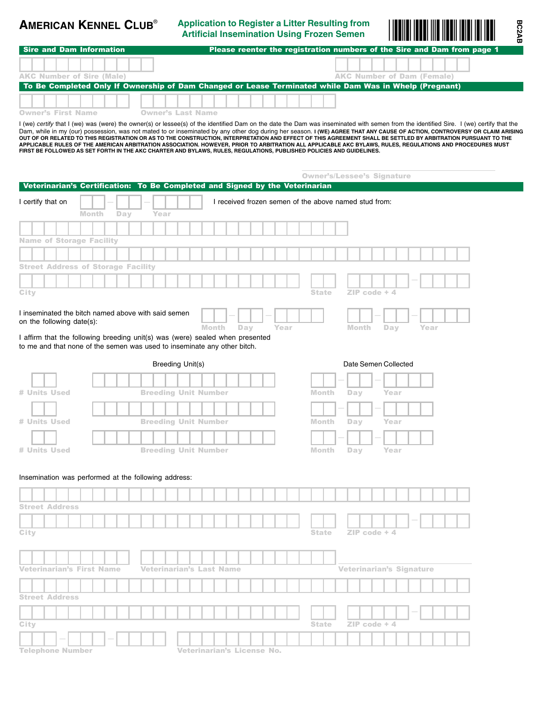**Application to Register a Litter Resulting from AMERICAN KENNEL CLUB**® Application to Register a Litter Resulting from **Artificial Insemination Using Frozen** Semen - ®



**BC2AB**

| l Sire and Dam Information       | Please reenter the registration numbers of the Sire and Dam from page 1                                |
|----------------------------------|--------------------------------------------------------------------------------------------------------|
| <b>AKC Number of Sire (Male)</b> | <b>AKC Number of Dam (Female)</b>                                                                      |
|                                  |                                                                                                        |
|                                  | To Be Completed Only If Ownership of Dam Changed or Lease Terminated while Dam Was in Whelp (Pregnant) |
|                                  |                                                                                                        |
| <b>Owner's First Name</b>        | <b>Owner's Last Name</b>                                                                               |

I (we) *certify* that I (we) was (were) the owner(s) or lessee(s) of the identified Dam on the date the Dam was inseminated with semen from the identified Sire. I (we) certify that the Dam, while in my (our) possession, was not mated to or inseminated by any other dog during her season. **I (WE) AGREE THAT ANY CAUSE OF ACTION, CONTROVERSY OR CLAIM ARISING** OUT OF OR RELATED TO THIS REGISTRATION OR AS TO THE CONSTRUCTION, INTERPRETATION AND EFFECT OF THIS AGREEMENT SHALL BE SETTLED BY ARBITRATION PURSUANT TO THE<br>APPLICABLE RULES OF THE AMERICAN ARBITRATION ASSOCIATION. HOWEVE

|                                                                                                                                                           |              |     |                                 |                            |     |      | <b>Owner's/Lessee's Signature</b>                     |                                 |                |                      |      |  |  |
|-----------------------------------------------------------------------------------------------------------------------------------------------------------|--------------|-----|---------------------------------|----------------------------|-----|------|-------------------------------------------------------|---------------------------------|----------------|----------------------|------|--|--|
| Veterinarian's Certification: To Be Completed and Signed by the Veterinarian                                                                              |              |     |                                 |                            |     |      |                                                       |                                 |                |                      |      |  |  |
| I certify that on                                                                                                                                         | <b>Month</b> | Day | Year                            |                            |     |      | I received frozen semen of the above named stud from: |                                 |                |                      |      |  |  |
|                                                                                                                                                           |              |     |                                 |                            |     |      |                                                       |                                 |                |                      |      |  |  |
| <b>Name of Storage Facility</b>                                                                                                                           |              |     |                                 |                            |     |      |                                                       |                                 |                |                      |      |  |  |
|                                                                                                                                                           |              |     |                                 |                            |     |      |                                                       |                                 |                |                      |      |  |  |
| <b>Street Address of Storage Facility</b>                                                                                                                 |              |     |                                 |                            |     |      |                                                       |                                 |                |                      |      |  |  |
| City                                                                                                                                                      |              |     |                                 |                            |     |      | <b>State</b>                                          |                                 | $ZIP code + 4$ |                      |      |  |  |
| I inseminated the bitch named above with said semen<br>on the following date(s):                                                                          |              |     |                                 | <b>Month</b>               | Day | Year |                                                       | Month                           |                | Day                  | Year |  |  |
| I affirm that the following breeding unit(s) was (were) sealed when presented<br>to me and that none of the semen was used to inseminate any other bitch. |              |     |                                 |                            |     |      |                                                       |                                 |                |                      |      |  |  |
|                                                                                                                                                           |              |     | <b>Breeding Unit(s)</b>         |                            |     |      |                                                       |                                 |                | Date Semen Collected |      |  |  |
|                                                                                                                                                           |              |     |                                 |                            |     |      |                                                       |                                 |                |                      |      |  |  |
| # Units Used                                                                                                                                              |              |     | <b>Breeding Unit Number</b>     |                            |     |      | <b>Month</b>                                          | Day                             |                | Year                 |      |  |  |
|                                                                                                                                                           |              |     |                                 |                            |     |      |                                                       |                                 |                |                      |      |  |  |
| # Units Used                                                                                                                                              |              |     | <b>Breeding Unit Number</b>     |                            |     |      | <b>Month</b>                                          | Day                             |                | Year                 |      |  |  |
|                                                                                                                                                           |              |     |                                 |                            |     |      |                                                       |                                 |                |                      |      |  |  |
| # Units Used                                                                                                                                              |              |     | <b>Breeding Unit Number</b>     |                            |     |      | Month                                                 | Day                             |                | Year                 |      |  |  |
|                                                                                                                                                           |              |     |                                 |                            |     |      |                                                       |                                 |                |                      |      |  |  |
| Insemination was performed at the following address:                                                                                                      |              |     |                                 |                            |     |      |                                                       |                                 |                |                      |      |  |  |
|                                                                                                                                                           |              |     |                                 |                            |     |      |                                                       |                                 |                |                      |      |  |  |
| <b>Street Address</b>                                                                                                                                     |              |     |                                 |                            |     |      |                                                       |                                 |                |                      |      |  |  |
| City                                                                                                                                                      |              |     |                                 |                            |     |      | <b>State</b>                                          |                                 | $ZIP code + 4$ |                      |      |  |  |
|                                                                                                                                                           |              |     |                                 |                            |     |      |                                                       |                                 |                |                      |      |  |  |
|                                                                                                                                                           |              |     |                                 |                            |     |      |                                                       |                                 |                |                      |      |  |  |
| <b>Veterinarian's First Name</b>                                                                                                                          |              |     | <b>Veterinarian's Last Name</b> |                            |     |      |                                                       | <b>Veterinarian's Signature</b> |                |                      |      |  |  |
|                                                                                                                                                           |              |     |                                 |                            |     |      |                                                       |                                 |                |                      |      |  |  |
| <b>Street Address</b>                                                                                                                                     |              |     |                                 |                            |     |      |                                                       |                                 |                |                      |      |  |  |
|                                                                                                                                                           |              |     |                                 |                            |     |      |                                                       |                                 |                |                      |      |  |  |
| City                                                                                                                                                      |              |     |                                 |                            |     |      | <b>State</b>                                          |                                 | $ZIP code + 4$ |                      |      |  |  |
|                                                                                                                                                           |              |     |                                 |                            |     |      |                                                       |                                 |                |                      |      |  |  |
| <b>Telephone Number</b>                                                                                                                                   |              |     |                                 | Veterinarian's License No. |     |      |                                                       |                                 |                |                      |      |  |  |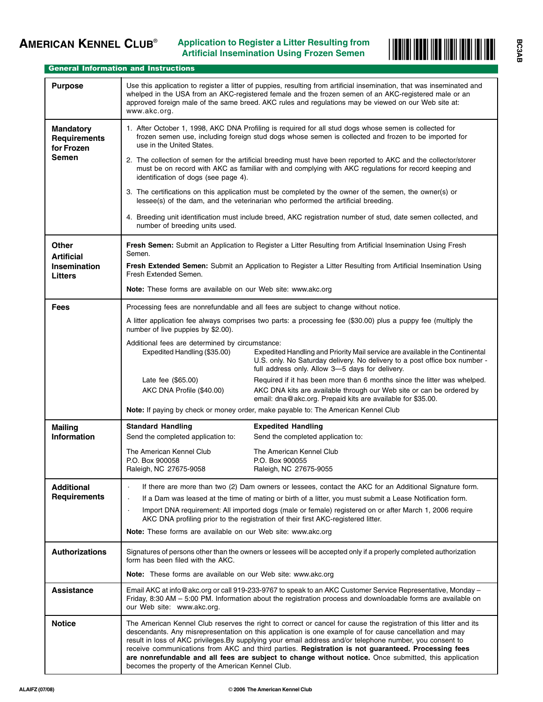

# General Information and Instructions

| <b>Purpose</b>                                                        | Use this application to register a litter of puppies, resulting from artificial insemination, that was inseminated and<br>whelped in the USA from an AKC-registered female and the frozen semen of an AKC-registered male or an<br>approved foreign male of the same breed. AKC rules and regulations may be viewed on our Web site at:<br>www.akc.org.                                                                                                                                                                                                                                                        |                                                                                                         |  |  |  |  |  |  |
|-----------------------------------------------------------------------|----------------------------------------------------------------------------------------------------------------------------------------------------------------------------------------------------------------------------------------------------------------------------------------------------------------------------------------------------------------------------------------------------------------------------------------------------------------------------------------------------------------------------------------------------------------------------------------------------------------|---------------------------------------------------------------------------------------------------------|--|--|--|--|--|--|
| <b>Mandatory</b><br><b>Requirements</b><br>for Frozen<br><b>Semen</b> | 1. After October 1, 1998, AKC DNA Profiling is required for all stud dogs whose semen is collected for<br>frozen semen use, including foreign stud dogs whose semen is collected and frozen to be imported for<br>use in the United States.<br>2. The collection of semen for the artificial breeding must have been reported to AKC and the collector/storer<br>must be on record with AKC as familiar with and complying with AKC regulations for record keeping and                                                                                                                                         |                                                                                                         |  |  |  |  |  |  |
|                                                                       | identification of dogs (see page 4).                                                                                                                                                                                                                                                                                                                                                                                                                                                                                                                                                                           |                                                                                                         |  |  |  |  |  |  |
|                                                                       | 3. The certifications on this application must be completed by the owner of the semen, the owner(s) or<br>lessee(s) of the dam, and the veterinarian who performed the artificial breeding.                                                                                                                                                                                                                                                                                                                                                                                                                    |                                                                                                         |  |  |  |  |  |  |
|                                                                       | 4. Breeding unit identification must include breed, AKC registration number of stud, date semen collected, and<br>number of breeding units used.                                                                                                                                                                                                                                                                                                                                                                                                                                                               |                                                                                                         |  |  |  |  |  |  |
| <b>Other</b><br><b>Artificial</b>                                     | Fresh Semen: Submit an Application to Register a Litter Resulting from Artificial Insemination Using Fresh<br>Semen.                                                                                                                                                                                                                                                                                                                                                                                                                                                                                           |                                                                                                         |  |  |  |  |  |  |
| <b>Insemination</b><br><b>Litters</b>                                 | Fresh Extended Semen: Submit an Application to Register a Litter Resulting from Artificial Insemination Using<br>Fresh Extended Semen.                                                                                                                                                                                                                                                                                                                                                                                                                                                                         |                                                                                                         |  |  |  |  |  |  |
|                                                                       | Note: These forms are available on our Web site: www.akc.org                                                                                                                                                                                                                                                                                                                                                                                                                                                                                                                                                   |                                                                                                         |  |  |  |  |  |  |
| <b>Fees</b>                                                           | Processing fees are nonrefundable and all fees are subject to change without notice.                                                                                                                                                                                                                                                                                                                                                                                                                                                                                                                           |                                                                                                         |  |  |  |  |  |  |
|                                                                       | A litter application fee always comprises two parts: a processing fee (\$30.00) plus a puppy fee (multiply the<br>number of live puppies by \$2.00).                                                                                                                                                                                                                                                                                                                                                                                                                                                           |                                                                                                         |  |  |  |  |  |  |
|                                                                       | Additional fees are determined by circumstance:<br>Expedited Handling (\$35.00)<br>Expedited Handling and Priority Mail service are available in the Continental<br>U.S. only. No Saturday delivery. No delivery to a post office box number -<br>full address only. Allow 3-5 days for delivery.                                                                                                                                                                                                                                                                                                              |                                                                                                         |  |  |  |  |  |  |
|                                                                       | Late fee (\$65.00)<br>Required if it has been more than 6 months since the litter was whelped.<br>AKC DNA Profile (\$40.00)<br>AKC DNA kits are available through our Web site or can be ordered by<br>email: dna@akc.org. Prepaid kits are available for \$35.00.                                                                                                                                                                                                                                                                                                                                             |                                                                                                         |  |  |  |  |  |  |
|                                                                       | Note: If paying by check or money order, make payable to: The American Kennel Club                                                                                                                                                                                                                                                                                                                                                                                                                                                                                                                             |                                                                                                         |  |  |  |  |  |  |
| <b>Mailing</b>                                                        | <b>Standard Handling</b>                                                                                                                                                                                                                                                                                                                                                                                                                                                                                                                                                                                       | <b>Expedited Handling</b>                                                                               |  |  |  |  |  |  |
| <b>Information</b>                                                    | Send the completed application to:                                                                                                                                                                                                                                                                                                                                                                                                                                                                                                                                                                             | Send the completed application to:                                                                      |  |  |  |  |  |  |
|                                                                       | The American Kennel Club<br>P.O. Box 900058                                                                                                                                                                                                                                                                                                                                                                                                                                                                                                                                                                    | The American Kennel Club<br>P.O. Box 900055                                                             |  |  |  |  |  |  |
|                                                                       | Raleigh, NC 27675-9058                                                                                                                                                                                                                                                                                                                                                                                                                                                                                                                                                                                         | Raleigh, NC 27675-9055                                                                                  |  |  |  |  |  |  |
| <b>Additional</b>                                                     |                                                                                                                                                                                                                                                                                                                                                                                                                                                                                                                                                                                                                | If there are more than two (2) Dam owners or lessees, contact the AKC for an Additional Signature form. |  |  |  |  |  |  |
| <b>Requirements</b>                                                   | If a Dam was leased at the time of mating or birth of a litter, you must submit a Lease Notification form.                                                                                                                                                                                                                                                                                                                                                                                                                                                                                                     |                                                                                                         |  |  |  |  |  |  |
|                                                                       | Import DNA requirement: All imported dogs (male or female) registered on or after March 1, 2006 require<br>AKC DNA profiling prior to the registration of their first AKC-registered litter.                                                                                                                                                                                                                                                                                                                                                                                                                   |                                                                                                         |  |  |  |  |  |  |
|                                                                       | <b>Note:</b> These forms are available on our Web site: www.akc.org                                                                                                                                                                                                                                                                                                                                                                                                                                                                                                                                            |                                                                                                         |  |  |  |  |  |  |
| <b>Authorizations</b>                                                 | Signatures of persons other than the owners or lessees will be accepted only if a properly completed authorization<br>form has been filed with the AKC.                                                                                                                                                                                                                                                                                                                                                                                                                                                        |                                                                                                         |  |  |  |  |  |  |
|                                                                       | <b>Note:</b> These forms are available on our Web site: www.akc.org                                                                                                                                                                                                                                                                                                                                                                                                                                                                                                                                            |                                                                                                         |  |  |  |  |  |  |
| <b>Assistance</b>                                                     | Email AKC at info@akc.org or call 919-233-9767 to speak to an AKC Customer Service Representative, Monday –<br>Friday, 8:30 AM - 5:00 PM. Information about the registration process and downloadable forms are available on<br>our Web site: www.akc.org.                                                                                                                                                                                                                                                                                                                                                     |                                                                                                         |  |  |  |  |  |  |
| <b>Notice</b>                                                         | The American Kennel Club reserves the right to correct or cancel for cause the registration of this litter and its<br>descendants. Any misrepresentation on this application is one example of for cause cancellation and may<br>result in loss of AKC privileges. By supplying your email address and/or telephone number, you consent to<br>receive communications from AKC and third parties. Registration is not guaranteed. Processing fees<br>are nonrefundable and all fees are subject to change without notice. Once submitted, this application<br>becomes the property of the American Kennel Club. |                                                                                                         |  |  |  |  |  |  |